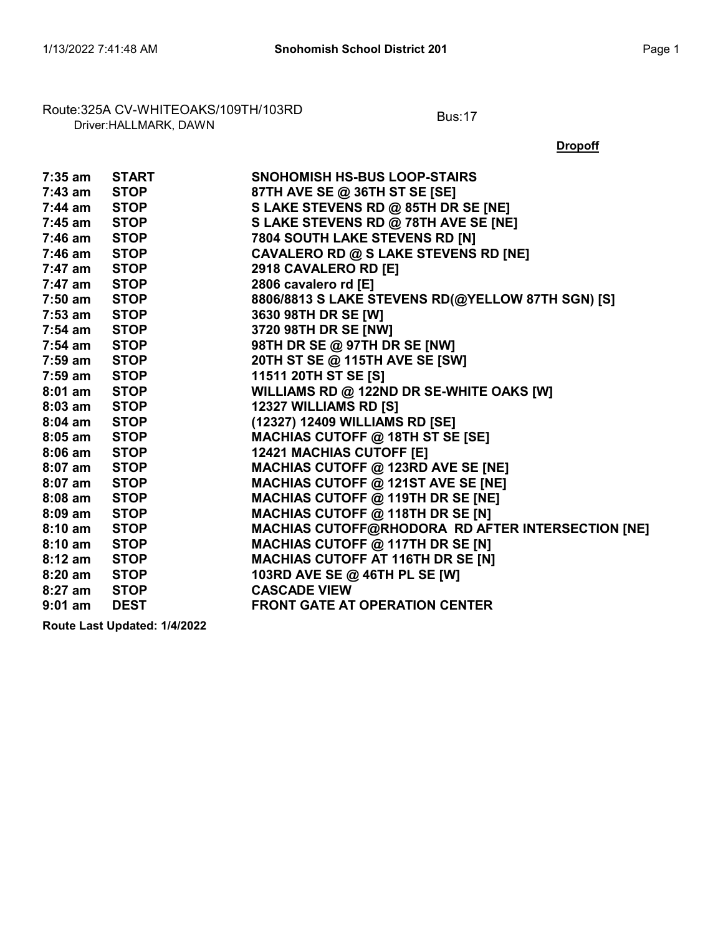# Route:325A CV-WHITEOAKS/109TH/103RD<br>Driver:HALLMARK, DAWN

**Dropoff** 

|                  | 7:35 am START         | <b>SNOHOMISH HS-BUS LOOP-STAIRS</b>               |
|------------------|-----------------------|---------------------------------------------------|
| $7:43$ am $STOP$ |                       | 87TH AVE SE @ 36TH ST SE [SE]                     |
| 7:44 am STOP     |                       | S LAKE STEVENS RD @ 85TH DR SE [NE]               |
| 7:45 am          | <b>STOP Example 2</b> | S LAKE STEVENS RD @ 78TH AVE SE [NE]              |
| 7:46 am STOP     |                       | 7804 SOUTH LAKE STEVENS RD [N]                    |
| 7:46 am          | <b>STOP</b>           | <b>CAVALERO RD @ S LAKE STEVENS RD [NE]</b>       |
| 7:47 am          | STOP                  | 2918 CAVALERO RD [E]                              |
| 7:47 am          | STOP                  | 2806 cavalero rd [E]                              |
| $7:50$ am        | <b>STOP</b>           | 8806/8813 S LAKE STEVENS RD(@YELLOW 87TH SGN) [S] |
| 7:53 am          | STOP                  | 3630 98TH DR SE [W]                               |
|                  | 7:54 am STOP          | 3720 98TH DR SE [NW]                              |
| 7:54 am STOP     |                       | 98TH DR SE @ 97TH DR SE [NW]                      |
| $7:59$ am        | <b>STOP</b>           | 20TH ST SE @ 115TH AVE SE [SW]                    |
| 7:59 am          | <b>STOP</b>           | 11511 20TH ST SE [S]                              |
|                  | 8:01 am STOP          | WILLIAMS RD @ 122ND DR SE-WHITE OAKS [W]          |
| $8:03$ am        | <b>STOP</b>           | 12327 WILLIAMS RD [S]                             |
| $8:04$ am        | STOP                  | (12327) 12409 WILLIAMS RD [SE]                    |
|                  | 8:05 am STOP          | MACHIAS CUTOFF @ 18TH ST SE [SE]                  |
| 8:06 am STOP     |                       | <b>12421 MACHIAS CUTOFF [E]</b>                   |
| $8:07$ am        | <b>STOP</b>           | MACHIAS CUTOFF @ 123RD AVE SE [NE]                |
| $8:07$ am        | <b>STOP</b>           | <b>MACHIAS CUTOFF @ 121ST AVE SE [NE]</b>         |
| $8:08$ am        | <b>STOP Example 2</b> | MACHIAS CUTOFF @ 119TH DR SE [NE]                 |
| $8:09$ am        | <b>STOP</b>           | MACHIAS CUTOFF @ 118TH DR SE [N]                  |
| 8:10 am          | <b>STOP</b>           | MACHIAS CUTOFF@RHODORA RD AFTER INTERSECTION [NE] |
| $8:10$ am        | <b>STOP Example 1</b> | <b>MACHIAS CUTOFF @ 117TH DR SE [N]</b>           |
| 8:12 am          | STOP                  | <b>MACHIAS CUTOFF AT 116TH DR SE [N]</b>          |
| $8:20$ am        | <b>STOP</b>           | 103RD AVE SE @ 46TH PL SE [W]                     |
| 8:27 am          | STOP                  | <b>CASCADE VIEW</b>                               |
| $9:01$ am        | <b>DEST</b>           | <b>FRONT GATE AT OPERATION CENTER</b>             |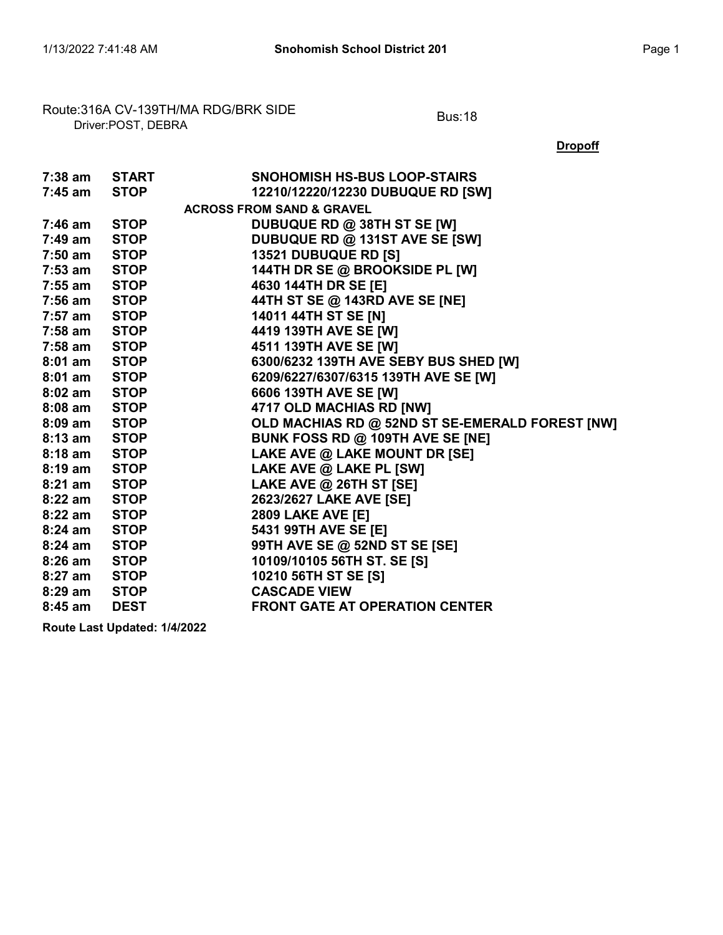## Route:316A CV-139TH/MA RDG/BRK SIDE<br>Driver:POST, DEBRA

**Dropoff** 

| 7:38 am START |                       | <b>SNOHOMISH HS-BUS LOOP-STAIRS</b>             |
|---------------|-----------------------|-------------------------------------------------|
| 7:45 am       | STOP                  | 12210/12220/12230 DUBUQUE RD [SW]               |
|               |                       | <b>ACROSS FROM SAND &amp; GRAVEL</b>            |
| 7:46 am       | STOP                  | DUBUQUE RD @ 38TH ST SE [W]                     |
| 7:49 am       | <b>STOP</b>           | DUBUQUE RD @ 131ST AVE SE [SW]                  |
| $7:50$ am     | STOP                  | <b>13521 DUBUQUE RD [S]</b>                     |
| $7:53$ am     | <b>STOP Example 2</b> | 144TH DR SE @ BROOKSIDE PL [W]                  |
| $7:55$ am     | <b>STOP</b>           | 4630 144TH DR SE [E]                            |
| $7:56$ am     | <b>STOP</b>           | 44TH ST SE @ 143RD AVE SE [NE]                  |
| 7:57 am       | <b>STOP Example 2</b> | 14011 44TH ST SE [N]                            |
|               | 7:58 am STOP          | 4419 139TH AVE SE [W]                           |
| $7:58$ am     | <b>STOP</b>           | 4511 139TH AVE SE [W]                           |
| $8:01$ am     | STOP                  | 6300/6232 139TH AVE SEBY BUS SHED [W]           |
| $8:01$ am     | <b>STOP Example 2</b> | 6209/6227/6307/6315 139TH AVE SE [W]            |
| $8:02$ am     | <b>STOP</b>           | 6606 139TH AVE SE [W]                           |
| $8:08$ am     | <b>STOP</b>           | 4717 OLD MACHIAS RD [NW]                        |
| 8:09 am       | <b>STOP Example 2</b> | OLD MACHIAS RD @ 52ND ST SE-EMERALD FOREST [NW] |
|               | 8:13 am STOP          | BUNK FOSS RD @ 109TH AVE SE [NE]                |
| $8:18$ am     | <b>STOP</b>           | LAKE AVE @ LAKE MOUNT DR [SE]                   |
| $8:19$ am     | <b>STOP</b>           | LAKE AVE @ LAKE PL [SW]                         |
| 8:21 am       | <b>STOP</b>           | LAKE AVE @ 26TH ST [SE]                         |
| 8:22 am       | <b>STOP</b>           | 2623/2627 LAKE AVE [SE]                         |
| $8:22$ am     | <b>STOP</b>           | <b>2809 LAKE AVE [E]</b>                        |
| $8:24$ am     | <b>STOP Example 2</b> | 5431 99TH AVE SE [E]                            |
| $8:24$ am     | <b>STOP Example 2</b> | 99TH AVE SE @ 52ND ST SE [SE]                   |
| $8:26$ am     | <b>STOP</b>           | 10109/10105 56TH ST. SE [S]                     |
| $8:27$ am     | <b>STOP</b>           | 10210 56TH ST SE [S]                            |
| 8:29 am       | STOP                  | <b>CASCADE VIEW</b>                             |
| $8:45$ am     | <b>DEST</b>           | <b>FRONT GATE AT OPERATION CENTER</b>           |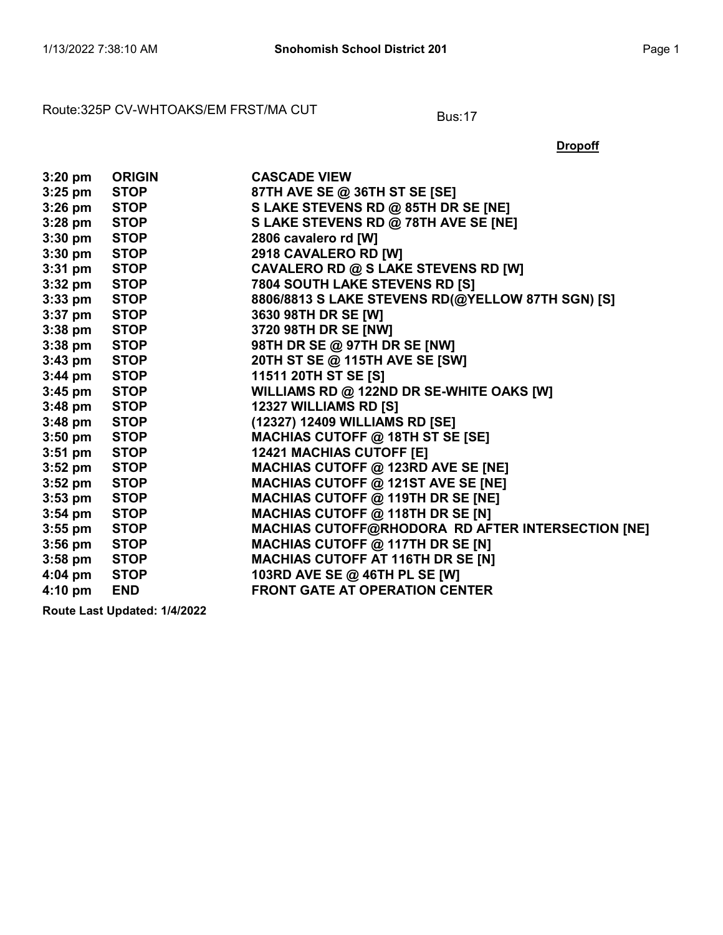### Route:325P CV-WHTOAKS/EM FRST/MA CUT Bus:17

| $3:20$ pm         | <b>ORIGIN</b> | <b>CASCADE VIEW</b>                                      |
|-------------------|---------------|----------------------------------------------------------|
| $3:25$ pm         | <b>STOP</b>   | 87TH AVE SE @ 36TH ST SE [SE]                            |
| $3:26$ pm         | <b>STOP</b>   | S LAKE STEVENS RD @ 85TH DR SE [NE]                      |
| $3:28$ pm         | <b>STOP</b>   | S LAKE STEVENS RD @ 78TH AVE SE [NE]                     |
| $3:30$ pm         | <b>STOP</b>   | 2806 cavalero rd [W]                                     |
| $3:30 \text{ pm}$ | <b>STOP</b>   | 2918 CAVALERO RD [W]                                     |
| $3:31$ pm         | STOP          | CAVALERO RD @ S LAKE STEVENS RD [W]                      |
| $3:32$ pm         | <b>STOP</b>   | 7804 SOUTH LAKE STEVENS RD [S]                           |
| $3:33$ pm         | <b>STOP</b>   | 8806/8813 S LAKE STEVENS RD(@YELLOW 87TH SGN) [S]        |
| $3:37$ pm         | STOP          | 3630 98TH DR SE [W]                                      |
| $3:38$ pm         | <b>STOP</b>   | 3720 98TH DR SE [NW]                                     |
| $3:38$ pm         | <b>STOP</b>   | 98TH DR SE @ 97TH DR SE [NW]                             |
| $3:43$ pm         | <b>STOP</b>   | 20TH ST SE @ 115TH AVE SE [SW]                           |
| $3:44$ pm         | <b>STOP</b>   | 11511 20TH ST SE [S]                                     |
| $3:45$ pm         | STOP          | WILLIAMS RD @ 122ND DR SE-WHITE OAKS [W]                 |
| $3:48$ pm         | STOP          | 12327 WILLIAMS RD [S]                                    |
| $3:48$ pm         | <b>STOP</b>   | (12327) 12409 WILLIAMS RD [SE]                           |
| $3:50$ pm         | STOP          | MACHIAS CUTOFF @ 18TH ST SE [SE]                         |
| $3:51$ pm         | STOP          | <b>12421 MACHIAS CUTOFF [E]</b>                          |
| $3:52$ pm         | <b>STOP</b>   | MACHIAS CUTOFF @ 123RD AVE SE [NE]                       |
| $3:52$ pm         | STOP          | <b>MACHIAS CUTOFF @ 121ST AVE SE [NE]</b>                |
| $3:53$ pm         | <b>STOP</b>   | MACHIAS CUTOFF @ 119TH DR SE [NE]                        |
| $3:54$ pm         | <b>STOP</b>   | MACHIAS CUTOFF @ 118TH DR SE [N]                         |
| $3:55$ pm         | <b>STOP</b>   | <b>MACHIAS CUTOFF@RHODORA RD AFTER INTERSECTION [NE]</b> |
| $3:56$ pm         | <b>STOP</b>   | MACHIAS CUTOFF @ 117TH DR SE [N]                         |
| $3:58$ pm         | <b>STOP</b>   | <b>MACHIAS CUTOFF AT 116TH DR SE [N]</b>                 |
| $4:04 \text{ pm}$ | <b>STOP</b>   | 103RD AVE SE @ 46TH PL SE [W]                            |
| 4:10 pm           | <b>END</b>    | <b>FRONT GATE AT OPERATION CENTER</b>                    |